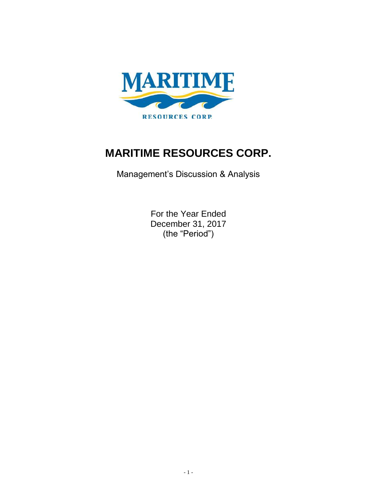

# **MARITIME RESOURCES CORP.**

Management's Discussion & Analysis

For the Year Ended December 31, 2017 (the "Period")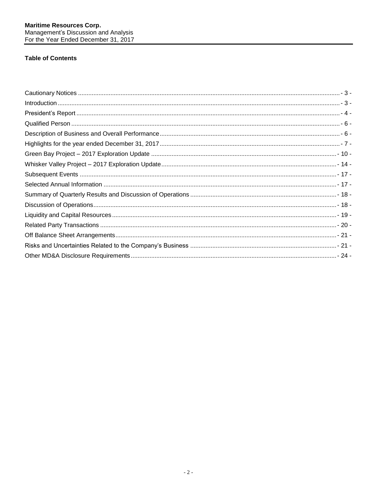# **Table of Contents**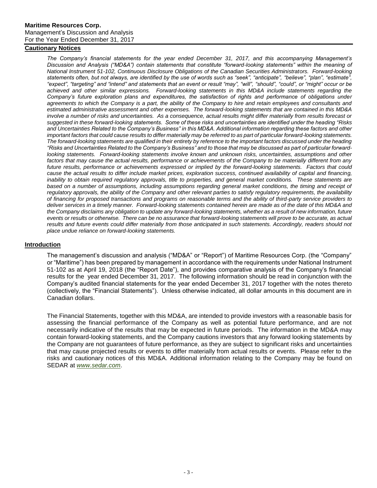#### <span id="page-2-0"></span>**Cautionary Notices**

*The Company's financial statements for the year ended December 31, 2017, and this accompanying Management's Discussion and Analysis ("MD&A") contain statements that constitute "forward-looking statements" within the meaning of National Instrument 51-102, Continuous Disclosure Obligations of the Canadian Securities Administrators. Forward-looking statements often, but not always, are identified by the use of words such as "seek", "anticipate", "believe", "plan", "estimate", "expect", "targeting" and "intend" and statements that an event or result "may", "will", "should", "could", or "might" occur or be achieved and other similar expressions. Forward-looking statements in this MD&A include statements regarding the Company's future exploration plans and expenditures, the satisfaction of rights and performance of obligations under agreements to which the Company is a part, the ability of the Company to hire and retain employees and consultants and estimated administrative assessment and other expenses. The forward-looking statements that are contained in this MD&A involve a number of risks and uncertainties. As a consequence, actual results might differ materially from results forecast or suggested in these forward-looking statements. Some of these risks and uncertainties are identified under the heading "Risks and Uncertainties Related to the Company's Business" in this MD&A. Additional information regarding these factors and other important factors that could cause results to differ materially may be referred to as part of particular forward-looking statements. The forward-looking statements are qualified in their entirety by reference to the important factors discussed under the heading "Risks and Uncertainties Related to the Company's Business" and to those that may be discussed as part of particular forwardlooking statements. Forward-looking statements involve known and unknown risks, uncertainties, assumptions and other*  factors that may cause the actual results, performance or achievements of the Company to be materially different from any *future results, performance or achievements expressed or implied by the forward-looking statements. Factors that could cause the actual results to differ include market prices, exploration success, continued availability of capital and financing, inability to obtain required regulatory approvals, title to properties, and general market conditions. These statements are based on a number of assumptions, including assumptions regarding general market conditions, the timing and receipt of*  regulatory approvals, the ability of the Company and other relevant parties to satisfy regulatory requirements, the availability *of financing for proposed transactions and programs on reasonable terms and the ability of third-party service providers to deliver services in a timely manner. Forward-looking statements contained herein are made as of the date of this MD&A and the Company disclaims any obligation to update any forward-looking statements, whether as a result of new information, future events or results or otherwise. There can be no assurance that forward-looking statements will prove to be accurate, as actual*  results and future events could differ materially from those anticipated in such statements. Accordingly, readers should not *place undue reliance on forward-looking statements.*

#### <span id="page-2-1"></span>**Introduction**

The management's discussion and analysis ("MD&A" or "Report") of Maritime Resources Corp. (the "Company" or "Maritime") has been prepared by management in accordance with the requirements under National Instrument 51-102 as at April 19, 2018 (the "Report Date"), and provides comparative analysis of the Company's financial results for the year ended December 31, 2017. The following information should be read in conjunction with the Company's audited financial statements for the year ended December 31, 2017 together with the notes thereto (collectively, the "Financial Statements"). Unless otherwise indicated, all dollar amounts in this document are in Canadian dollars.

The Financial Statements, together with this MD&A, are intended to provide investors with a reasonable basis for assessing the financial performance of the Company as well as potential future performance, and are not necessarily indicative of the results that may be expected in future periods. The information in the MD&A may contain forward-looking statements, and the Company cautions investors that any forward looking statements by the Company are not guarantees of future performance, as they are subject to significant risks and uncertainties that may cause projected results or events to differ materially from actual results or events. Please refer to the risks and cautionary notices of this MD&A. Additional information relating to the Company may be found on SEDAR at *[www.sedar.com](http://www.sedar.com/)*.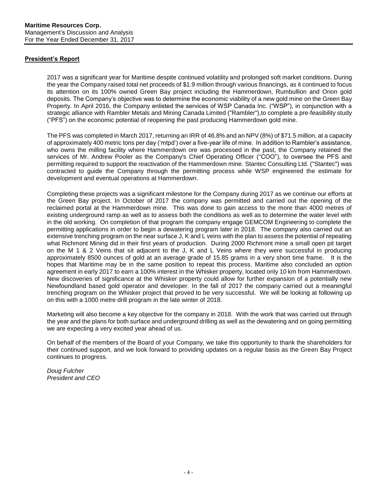# <span id="page-3-0"></span>**President's Report**

2017 was a significant year for Maritime despite continued volatility and prolonged soft market conditions. During the year the Company raised total net proceeds of \$1.9 million through various financings, as it continued to focus its attention on its 100% owned Green Bay project including the Hammerdown, Rumbullion and Orion gold deposits. The Company's objective was to determine the economic viability of a new gold mine on the Green Bay Property. In April 2016, the Company enlisted the services of WSP Canada Inc. ("WSP"), in conjunction with a strategic alliance with Rambler Metals and Mining Canada Limited ("Rambler"),to complete a pre-feasibility study ("PFS") on the economic potential of reopening the past producing Hammerdown gold mine.

The PFS was completed in March 2017, returning an IRR of 46.8% and an NPV (8%) of \$71.5 million, at a capacity of approximately 400 metric tons per day ('mtpd') over a five-year life of mine. In addition to Rambler's assistance, who owns the milling facility where Hammerdown ore was processed in the past, the Company retained the services of Mr. Andrew Pooler as the Company's Chief Operating Officer ("COO"), to oversee the PFS and permitting required to support the reactivation of the Hammerdown mine. Stantec Consulting Ltd. ("Stantec") was contracted to guide the Company through the permitting process while WSP engineered the estimate for development and eventual operations at Hammerdown.

Completing these projects was a significant milestone for the Company during 2017 as we continue our efforts at the Green Bay project. In October of 2017 the company was permitted and carried out the opening of the reclaimed portal at the Hammerdown mine. This was done to gain access to the more than 4000 metres of existing underground ramp as well as to assess both the conditions as well as to determine the water level with in the old working. On completion of that program the company engage GEMCOM Engineering to complete the permitting applications in order to begin a dewatering program later in 2018. The company also carried out an extensive trenching program on the near surface J, K and L veins with the plan to assess the potential of repeating what Richmont Mining did in their first years of production. During 2000 Richmont mine a small open pit target on the M 1 & 2 Veins that sit adjacent to the J, K and L Veins where they were successful in producing approximately 8500 ounces of gold at an average grade of 15.85 grams in a very short time frame. It is the hopes that Maritime may be in the same position to repeat this process. Maritime also concluded an option agreement in early 2017 to earn a 100% interest in the Whisker property, located only 10 km from Hammerdown. New discoveries of significance at the Whisker property could allow for further expansion of a potentially new Newfoundland based gold operator and developer. In the fall of 2017 the company carried out a meaningful trenching program on the Whisker project that proved to be very successful. We will be looking at following up on this with a 1000 metre drill program in the late winter of 2018.

Marketing will also become a key objective for the company in 2018. With the work that was carried out through the year and the plans for both surface and underground drilling as well as the dewatering and on going permitting we are expecting a very excited year ahead of us.

On behalf of the members of the Board of your Company, we take this opportunity to thank the shareholders for their continued support, and we look forward to providing updates on a regular basis as the Green Bay Project continues to progress.

*Doug Fulcher President and CEO*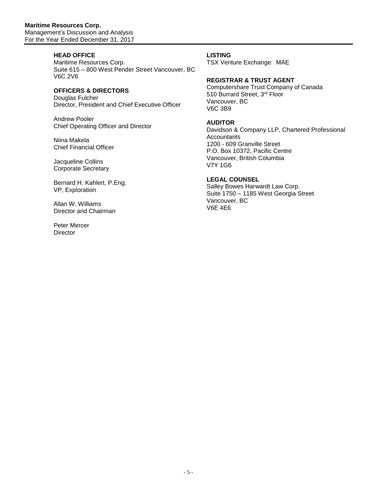# **HEAD OFFICE**

Maritime Resources Corp. Suite 615 – 800 West Pender Street Vancouver, BC V6C 2V6

# **OFFICERS & DIRECTORS**

Douglas Fulcher Director, President and Chief Executive Officer

Andrew Pooler Chief Operating Officer and Director

Niina Makela Chief Financial Officer

Jacqueline Collins Corporate Secretary

Bernard H. Kahlert, P.Eng. VP, Exploration

Allan W. Williams Director and Chairman

Peter Mercer **Director** 

## **LISTING**

TSX Venture Exchange: MAE

#### **REGISTRAR & TRUST AGENT**

Computershare Trust Company of Canada 510 Burrard Street, 3rd Floor Vancouver, BC V6C 3B9

#### **AUDITOR**

Davidson & Company LLP, Chartered Professional **Accountants** 1200 - 609 Granville Street P.O. Box 10372, Pacific Centre Vancouver, British Columbia V7Y 1G6

# **LEGAL COUNSEL**

Salley Bowes Harwardt Law Corp. Suite 1750 – 1185 West Georgia Street Vancouver, BC V6E 4E6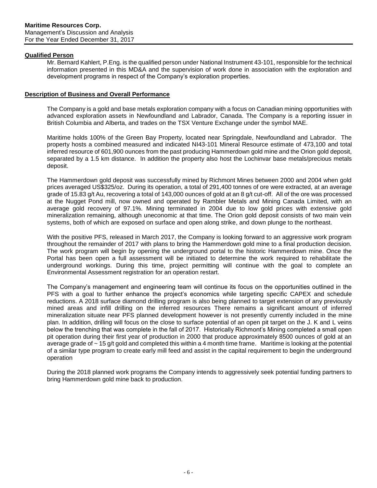#### <span id="page-5-0"></span>**Qualified Person**

Mr. Bernard Kahlert, P.Eng. is the qualified person under National Instrument 43-101, responsible for the technical information presented in this MD&A and the supervision of work done in association with the exploration and development programs in respect of the Company's exploration properties.

#### <span id="page-5-1"></span>**Description of Business and Overall Performance**

The Company is a gold and base metals exploration company with a focus on Canadian mining opportunities with advanced exploration assets in Newfoundland and Labrador, Canada. The Company is a reporting issuer in British Columbia and Alberta, and trades on the TSX Venture Exchange under the symbol MAE.

Maritime holds 100% of the Green Bay Property, located near Springdale, Newfoundland and Labrador. The property hosts a combined measured and indicated NI43-101 Mineral Resource estimate of 473,100 and total inferred resource of 601,900 ounces from the past producing Hammerdown gold mine and the Orion gold deposit, separated by a 1.5 km distance. In addition the property also host the Lochinvar base metals/precious metals deposit.

The Hammerdown gold deposit was successfully mined by Richmont Mines between 2000 and 2004 when gold prices averaged US\$325/oz. During its operation, a total of 291,400 tonnes of ore were extracted, at an average grade of 15.83 g/t Au, recovering a total of 143,000 ounces of gold at an 8 g/t cut-off. All of the ore was processed at the Nugget Pond mill, now owned and operated by Rambler Metals and Mining Canada Limited, with an average gold recovery of 97.1%. Mining terminated in 2004 due to low gold prices with extensive gold mineralization remaining, although uneconomic at that time. The Orion gold deposit consists of two main vein systems, both of which are exposed on surface and open along strike, and down plunge to the northeast.

With the positive PFS, released in March 2017, the Company is looking forward to an aggressive work program throughout the remainder of 2017 with plans to bring the Hammerdown gold mine to a final production decision. The work program will begin by opening the underground portal to the historic Hammerdown mine. Once the Portal has been open a full assessment will be initiated to determine the work required to rehabilitate the underground workings. During this time, project permitting will continue with the goal to complete an Environmental Assessment registration for an operation restart.

The Company's management and engineering team will continue its focus on the opportunities outlined in the PFS with a goal to further enhance the project's economics while targeting specific CAPEX and schedule reductions. A 2018 surface diamond drilling program is also being planned to target extension of any previously mined areas and infill drilling on the inferred resources There remains a significant amount of inferred mineralization situate near PFS planned development however is not presently currently included in the mine plan. In addition, drilling will focus on the close to surface potential of an open pit target on the J. K and L veins below the trenching that was complete in the fall of 2017. Historically Richmont's Mining completed a small open pit operation during their first year of production in 2000 that produce approximately 8500 ounces of gold at an average grade of  $\sim$  15 g/t gold and completed this within a 4 month time frame. Maritime is looking at the potential of a similar type program to create early mill feed and assist in the capital requirement to begin the underground operation

<span id="page-5-2"></span>During the 2018 planned work programs the Company intends to aggressively seek potential funding partners to bring Hammerdown gold mine back to production.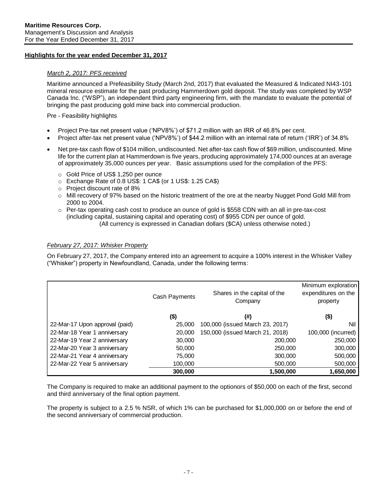## **Highlights for the year ended December 31, 2017**

#### *March 2, 2017: PFS received*

Maritime announced a Prefeasibility Study (March 2nd, 2017) that evaluated the Measured & Indicated NI43-101 mineral resource estimate for the past producing Hammerdown gold deposit. The study was completed by WSP Canada Inc. ("WSP"), an independent third party engineering firm, with the mandate to evaluate the potential of bringing the past producing gold mine back into commercial production.

Pre - Feasibility highlights

- Project Pre-tax net present value ('NPV8%') of \$71.2 million with an IRR of 46.8% per cent.
- Project after-tax net present value ('NPV8%') of \$44.2 million with an internal rate of return ('IRR') of 34.8%
- Net pre-tax cash flow of \$104 million, undiscounted. Net after-tax cash flow of \$69 million, undiscounted. Mine life for the current plan at Hammerdown is five years, producing approximately 174,000 ounces at an average of approximately 35,000 ounces per year. Basic assumptions used for the compilation of the PFS:
	- o Gold Price of US\$ 1,250 per ounce
	- o Exchange Rate of 0.8 US\$: 1 CA\$ (or 1 US\$: 1.25 CA\$)
	- o Project discount rate of 8%
	- o Mill recovery of 97% based on the historic treatment of the ore at the nearby Nugget Pond Gold Mill from 2000 to 2004.
	- o Per-tax operating cash cost to produce an ounce of gold is \$558 CDN with an all in pre-tax-cost (including capital, sustaining capital and operating cost) of \$955 CDN per ounce of gold. (All currency is expressed in Canadian dollars (\$CA) unless otherwise noted.)

#### *February 27, 2017: Whisker Property*

On February 27, 2017, the Company entered into an agreement to acquire a 100% interest in the Whisker Valley ("Whisker") property in Newfoundland, Canada, under the following terms:

|                                | Cash Payments | Shares in the capital of the<br>Company | Minimum exploration<br>expenditures on the<br>property |
|--------------------------------|---------------|-----------------------------------------|--------------------------------------------------------|
|                                | (\$)          | $^{(#)}$                                | $($ \$)                                                |
| 22-Mar-17 Upon approval (paid) | 25,000        | 100,000 (issued March 23, 2017)         | Nil                                                    |
| 22-Mar-18 Year 1 anniversary   | 20,000        | 150,000 (issued March 21, 2018)         | 100,000 (incurred)                                     |
| 22-Mar-19 Year 2 anniversary   | 30,000        | 200,000                                 | 250,000                                                |
| 22-Mar-20 Year 3 anniversary   | 50,000        | 250,000                                 | 300,000                                                |
| 22-Mar-21 Year 4 anniversary   | 75,000        | 300,000                                 | 500,000                                                |
| 22-Mar-22 Year 5 anniversary   | 100,000       | 500,000                                 | 500,000                                                |
|                                | 300,000       | 1,500,000                               | 1,650,000                                              |

The Company is required to make an additional payment to the optionors of \$50,000 on each of the first, second and third anniversary of the final option payment.

The property is subject to a 2.5 % NSR, of which 1% can be purchased for \$1,000,000 on or before the end of the second anniversary of commercial production.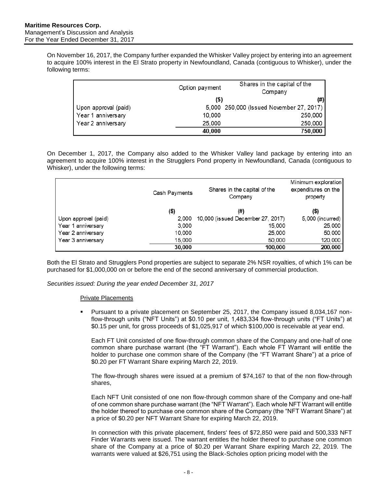On November 16, 2017, the Company further expanded the Whisker Valley project by entering into an agreement to acquire 100% interest in the El Strato property in Newfoundland, Canada (contiguous to Whisker), under the following terms:

|                      | Option payment | Shares in the capital of the             |
|----------------------|----------------|------------------------------------------|
|                      |                | Company                                  |
|                      | (\$)           | (#)                                      |
| Upon approval (paid) |                | 5,000 250,000 (Issued November 27, 2017) |
| Year 1 anniversary   | 10,000         | 250,000                                  |
| Year 2 anniversary   | 25,000         | 250,000                                  |
|                      | 40,000         | 750,000                                  |

On December 1, 2017, the Company also added to the Whisker Valley land package by entering into an agreement to acquire 100% interest in the Strugglers Pond property in Newfoundland, Canada (contiguous to Whisker), under the following terms:

|                      | Cash Payments | Shares in the capital of the<br>Company | Minimum exploration<br>expenditures on the<br>property |  |
|----------------------|---------------|-----------------------------------------|--------------------------------------------------------|--|
|                      | (\$)          | (#)                                     | (\$)                                                   |  |
| Upon approval (paid) | 2.000         | 10,000 (issued December 27, 2017)       | 5,000 (incurred)                                       |  |
| Year 1 anniversary   | 3.000         | 15,000                                  | 25,000                                                 |  |
| Year 2 anniversary   | 10,000        | 25,000                                  | 50,000                                                 |  |
| Year 3 anniversary   | 15.000        | 50,000                                  | 120,000                                                |  |
|                      | 30,000        | 100,000                                 | 200,000                                                |  |

Both the El Strato and Strugglers Pond properties are subject to separate 2% NSR royalties, of which 1% can be purchased for \$1,000,000 on or before the end of the second anniversary of commercial production.

*Securities issued: During the year ended December 31, 2017*

#### Private Placements

Pursuant to a private placement on September 25, 2017, the Company issued 8,034,167 nonflow-through units ("NFT Units") at \$0.10 per unit, 1,483,334 flow-through units ("FT Units") at \$0.15 per unit, for gross proceeds of \$1,025,917 of which \$100,000 is receivable at year end.

Each FT Unit consisted of one flow-through common share of the Company and one-half of one common share purchase warrant (the "FT Warrant"). Each whole FT Warrant will entitle the holder to purchase one common share of the Company (the "FT Warrant Share") at a price of \$0.20 per FT Warrant Share expiring March 22, 2019.

The flow-through shares were issued at a premium of \$74,167 to that of the non flow-through shares,

Each NFT Unit consisted of one non flow-through common share of the Company and one-half of one common share purchase warrant (the "NFT Warrant"). Each whole NFT Warrant will entitle the holder thereof to purchase one common share of the Company (the "NFT Warrant Share") at a price of \$0.20 per NFT Warrant Share for expiring March 22, 2019.

In connection with this private placement, finders' fees of \$72,850 were paid and 500,333 NFT Finder Warrants were issued. The warrant entitles the holder thereof to purchase one common share of the Company at a price of \$0.20 per Warrant Share expiring March 22, 2019. The warrants were valued at \$26,751 using the Black-Scholes option pricing model with the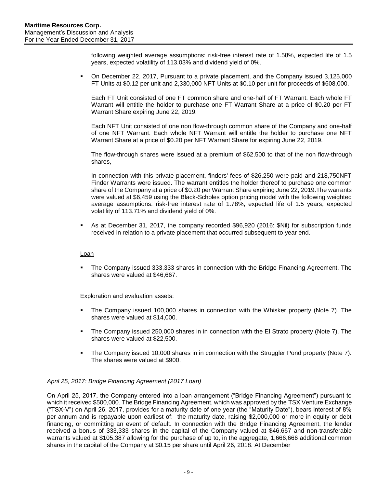following weighted average assumptions: risk-free interest rate of 1.58%, expected life of 1.5 years, expected volatility of 113.03% and dividend yield of 0%.

▪ On December 22, 2017, Pursuant to a private placement, and the Company issued 3,125,000 FT Units at \$0.12 per unit and 2,330,000 NFT Units at \$0.10 per unit for proceeds of \$608,000.

Each FT Unit consisted of one FT common share and one-half of FT Warrant. Each whole FT Warrant will entitle the holder to purchase one FT Warrant Share at a price of \$0.20 per FT Warrant Share expiring June 22, 2019.

Each NFT Unit consisted of one non flow-through common share of the Company and one-half of one NFT Warrant. Each whole NFT Warrant will entitle the holder to purchase one NFT Warrant Share at a price of \$0.20 per NFT Warrant Share for expiring June 22, 2019.

The flow-through shares were issued at a premium of \$62,500 to that of the non flow-through shares,

In connection with this private placement, finders' fees of \$26,250 were paid and 218,750NFT Finder Warrants were issued. The warrant entitles the holder thereof to purchase one common share of the Company at a price of \$0.20 per Warrant Share expiring June 22, 2019.The warrants were valued at \$6,459 using the Black-Scholes option pricing model with the following weighted average assumptions: risk-free interest rate of 1.78%, expected life of 1.5 years, expected volatility of 113.71% and dividend yield of 0%.

As at December 31, 2017, the company recorded \$96,920 (2016: \$Nil) for subscription funds received in relation to a private placement that occurred subsequent to year end.

#### Loan

The Company issued 333,333 shares in connection with the Bridge Financing Agreement. The shares were valued at \$46,667.

#### Exploration and evaluation assets:

- The Company issued 100,000 shares in connection with the Whisker property (Note 7). The shares were valued at \$14,000.
- The Company issued 250,000 shares in in connection with the El Strato property (Note 7). The shares were valued at \$22,500.
- The Company issued 10,000 shares in in connection with the Struggler Pond property (Note 7). The shares were valued at \$900.

#### *April 25, 2017: Bridge Financing Agreement (2017 Loan)*

On April 25, 2017, the Company entered into a loan arrangement ("Bridge Financing Agreement") pursuant to which it received \$500,000. The Bridge Financing Agreement, which was approved by the TSX Venture Exchange ("TSX-V") on April 26, 2017, provides for a maturity date of one year (the "Maturity Date"), bears interest of 8% per annum and is repayable upon earliest of: the maturity date, raising \$2,000,000 or more in equity or debt financing, or committing an event of default. In connection with the Bridge Financing Agreement, the lender received a bonus of 333,333 shares in the capital of the Company valued at \$46,667 and non-transferable warrants valued at \$105,387 allowing for the purchase of up to, in the aggregate, 1,666,666 additional common shares in the capital of the Company at \$0.15 per share until April 26, 2018. At December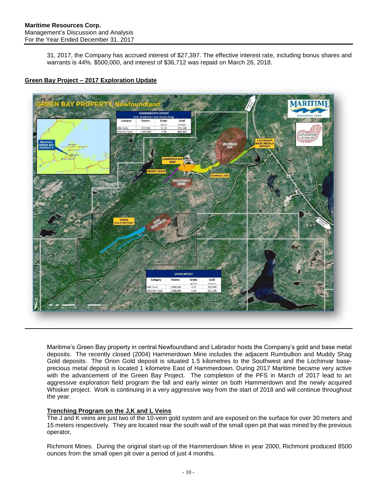31, 2017, the Company has accrued interest of \$27,397. The effective interest rate, including bonus shares and warrants is 44%. \$500,000, and interest of \$36,712 was repaid on March 26, 2018.

# <span id="page-9-0"></span>**Green Bay Project – 2017 Exploration Update**



Maritime's Green Bay property in central Newfoundland and Labrador hosts the Company's gold and base metal deposits. The recently closed (2004) Hammerdown Mine includes the adjacent Rumbullion and Muddy Shag Gold deposits. The Orion Gold deposit is situated 1.5 kilometres to the Southwest and the Lochinvar baseprecious metal deposit is located 1 kilometre East of Hammerdown. During 2017 Maritime became very active with the advancement of the Green Bay Project. The completion of the PFS in March of 2017 lead to an aggressive exploration field program the fall and early winter on both Hammerdown and the newly acquired Whisker project. Work is continuing in a very aggressive way from the start of 2018 and will continue throughout the year.

# **Trenching Program on the J,K and L Veins**

The J and K veins are just two of the 10-vein gold system and are exposed on the surface for over 30 meters and 15 meters respectively. They are located near the south wall of the small open pit that was mined by the previous operator,

Richmont Mines. During the original start-up of the Hammerdown Mine in year 2000, Richmont produced 8500 ounces from the small open pit over a period of just 4 months.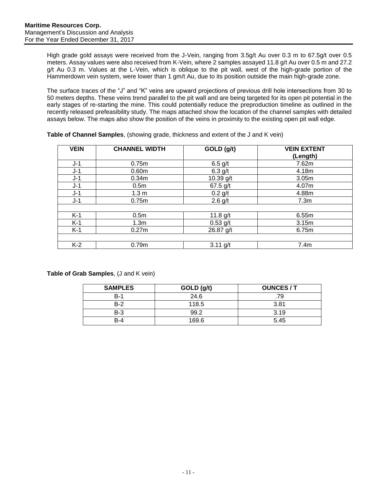High grade gold assays were received from the J-Vein, ranging from 3.5g/t Au over 0.3 m to 67.5g/t over 0.5 meters. Assay values were also received from K-Vein, where 2 samples assayed 11.8 g/t Au over 0.5 m and 27.2 g/t Au 0.3 m. Values at the L-Vein, which is oblique to the pit wall, west of the high-grade portion of the Hammerdown vein system, were lower than 1 gm/t Au, due to its position outside the main high-grade zone.

The surface traces of the "J" and "K" veins are upward projections of previous drill hole intersections from 30 to 50 meters depths. These veins trend parallel to the pit wall and are being targeted for its open pit potential in the early stages of re-starting the mine. This could potentially reduce the preproduction timeline as outlined in the recently released prefeasibility study. The maps attached show the location of the channel samples with detailed assays below. The maps also show the position of the veins in proximity to the existing open pit wall edge.

| <b>VEIN</b> | <b>CHANNEL WIDTH</b> | GOLD (g/t)  | <b>VEIN EXTENT</b><br>(Length) |
|-------------|----------------------|-------------|--------------------------------|
| $J-1$       | 0.75m                | $6.5$ g/t   | 7.62m                          |
| $J-1$       | 0.60 <sub>m</sub>    | $6.3$ g/t   | 4.18m                          |
| $J-1$       | 0.34 <sub>m</sub>    | $10.39$ g/t | 3.05m                          |
| J-1         | 0.5 <sub>m</sub>     | 67.5 g/t    | 4.07m                          |
| J-1         | 1.3 <sub>m</sub>     | $0.2$ g/t   | 4.88m                          |
| $J-1$       | 0.75m                | $2.6$ g/t   | 7.3m                           |
|             |                      |             |                                |
| $K-1$       | 0.5 <sub>m</sub>     | 11.8 $g/t$  | 6.55m                          |
| $K-1$       | 1.3 <sub>m</sub>     | $0.53$ g/t  | 3.15m                          |
| $K-1$       | 0.27 <sub>m</sub>    | 26.87 g/t   | 6.75m                          |
|             |                      |             |                                |
| $K-2$       | 0.79 <sub>m</sub>    | $3.11$ g/t  | 7.4m                           |

**Table of Channel Samples**, (showing grade, thickness and extent of the J and K vein)

**Table of Grab Samples**, (J and K vein)

| <b>SAMPLES</b> | GOLD (g/t) | <b>OUNCES/T</b> |
|----------------|------------|-----------------|
| $B-1$          | 24.6       | .79             |
| $B-2$          | 118.5      | 3.81            |
| $B-3$          | 99.2       | 3.19            |
| $B-4$          | 169.6      | 5.45            |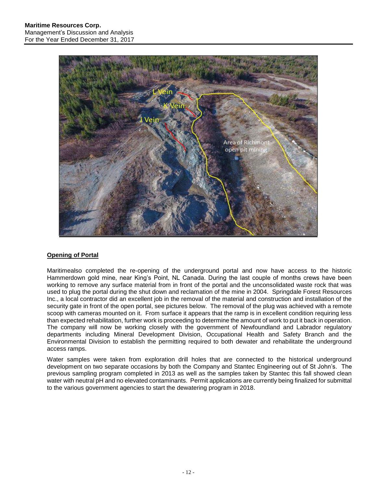

#### **Opening of Portal**

Maritimealso completed the re-opening of the underground portal and now have access to the historic Hammerdown gold mine, near King's Point, NL Canada. During the last couple of months crews have been working to remove any surface material from in front of the portal and the unconsolidated waste rock that was used to plug the portal during the shut down and reclamation of the mine in 2004. Springdale Forest Resources Inc., a local contractor did an excellent job in the removal of the material and construction and installation of the security gate in front of the open portal, see pictures below. The removal of the plug was achieved with a remote scoop with cameras mounted on it. From surface it appears that the ramp is in excellent condition requiring less than expected rehabilitation, further work is proceeding to determine the amount of work to put it back in operation. The company will now be working closely with the government of Newfoundland and Labrador regulatory departments including Mineral Development Division, Occupational Health and Safety Branch and the Environmental Division to establish the permitting required to both dewater and rehabilitate the underground access ramps.

Water samples were taken from exploration drill holes that are connected to the historical underground development on two separate occasions by both the Company and Stantec Engineering out of St John's. The previous sampling program completed in 2013 as well as the samples taken by Stantec this fall showed clean water with neutral pH and no elevated contaminants. Permit applications are currently being finalized for submittal to the various government agencies to start the dewatering program in 2018.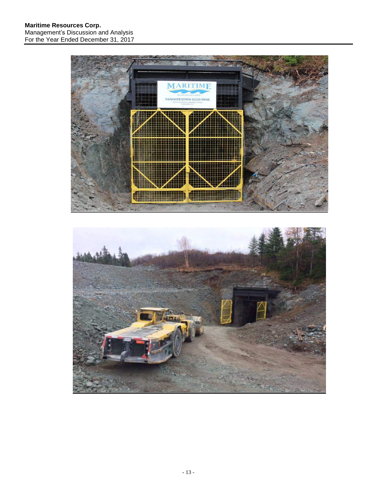

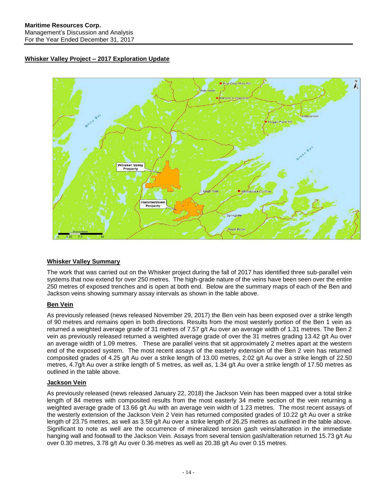# <span id="page-13-0"></span>**Whisker Valley Project – 2017 Exploration Update**



# **Whisker Valley Summary**

The work that was carried out on the Whisker project during the fall of 2017 has identified three sub-parallel vein systems that now extend for over 250 metres. The high-grade nature of the veins have been seen over the entire 250 metres of exposed trenches and is open at both end. Below are the summary maps of each of the Ben and Jackson veins showing summary assay intervals as shown in the table above.

# **Ben Vein**

As previously released (news released November 29, 2017) the Ben vein has been exposed over a strike length of 90 metres and remains open in both directions. Results from the most westerly portion of the Ben 1 vein as returned a weighted average grade of 31 metres of 7.57 g/t Au over an average width of 1.31 metres. The Ben 2 vein as previously released returned a weighted average grade of over the 31 metres grading 13.42 g/t Au over an average width of 1.09 metres. These are parallel veins that sit approximately 2 metres apart at the western end of the exposed system. The most recent assays of the easterly extension of the Ben 2 vein has returned composited grades of 4.25 g/t Au over a strike length of 13.00 metres, 2.02 g/t Au over a strike length of 22.50 metres, 4.7g/t Au over a strike length of 5 metres, as well as, 1.34 g/t Au over a strike length of 17.50 metres as outlined in the table above.

#### **Jackson Vein**

As previously released (news released January 22, 2018) the Jackson Vein has been mapped over a total strike length of 84 metres with composited results from the most easterly 34 metre section of the vein returning a weighted average grade of 13.66 g/t Au with an average vein width of 1.23 metres. The most recent assays of the westerly extension of the Jackson Vein 2 Vein has returned composited grades of 10.22 g/t Au over a strike length of 23.75 metres, as well as 3.59 g/t Au over a strike length of 26.25 metres as outlined in the table above. Significant to note as well are the occurrence of mineralized tension gash veins/alteration in the immediate hanging wall and footwall to the Jackson Vein. Assays from several tension gash/alteration returned 15.73 g/t Au over 0.30 metres, 3.78 g/t Au over 0.36 metres as well as 20.38 g/t Au over 0.15 metres.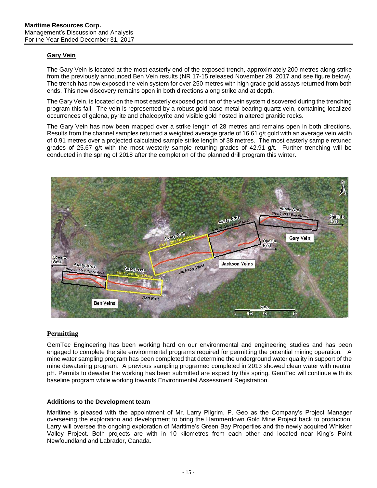## **Gary Vein**

The Gary Vein is located at the most easterly end of the exposed trench, approximately 200 metres along strike from the previously announced Ben Vein results (NR 17-15 released November 29, 2017 and see figure below). The trench has now exposed the vein system for over 250 metres with high grade gold assays returned from both ends. This new discovery remains open in both directions along strike and at depth.

The Gary Vein, is located on the most easterly exposed portion of the vein system discovered during the trenching program this fall. The vein is represented by a robust gold base metal bearing quartz vein, containing localized occurrences of galena, pyrite and chalcopyrite and visible gold hosted in altered granitic rocks.

The Gary Vein has now been mapped over a strike length of 28 metres and remains open in both directions. Results from the channel samples returned a weighted average grade of 16.61 g/t gold with an average vein width of 0.91 metres over a projected calculated sample strike length of 38 metres. The most easterly sample retuned grades of 25.67 g/t with the most westerly sample retuning grades of 42.91 g/t. Further trenching will be conducted in the spring of 2018 after the completion of the planned drill program this winter.



# **Permitting**

GemTec Engineering has been working hard on our environmental and engineering studies and has been engaged to complete the site environmental programs required for permitting the potential mining operation. A mine water sampling program has been completed that determine the underground water quality in support of the mine dewatering program. A previous sampling programed completed in 2013 showed clean water with neutral pH. Permits to dewater the working has been submitted are expect by this spring. GemTec will continue with its baseline program while working towards Environmental Assessment Registration.

#### **Additions to the Development team**

Maritime is pleased with the appointment of Mr. Larry Pilgrim, P. Geo as the Company's Project Manager overseeing the exploration and development to bring the Hammerdown Gold Mine Project back to production. Larry will oversee the ongoing exploration of Maritime's Green Bay Properties and the newly acquired Whisker Valley Project. Both projects are with in 10 kilometres from each other and located near King's Point Newfoundland and Labrador, Canada.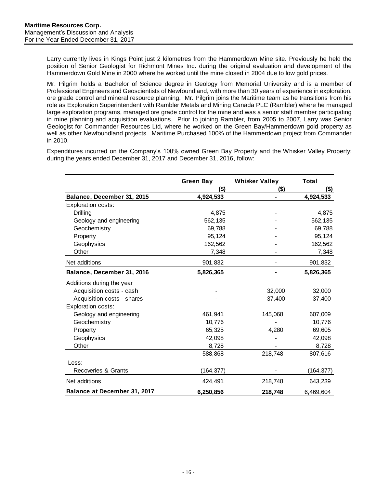Larry currently lives in Kings Point just 2 kilometres from the Hammerdown Mine site. Previously he held the position of Senior Geologist for Richmont Mines Inc. during the original evaluation and development of the Hammerdown Gold Mine in 2000 where he worked until the mine closed in 2004 due to low gold prices.

Mr. Pilgrim holds a Bachelor of Science degree in Geology from Memorial University and is a member of Professional Engineers and Geoscientists of Newfoundland, with more than 30 years of experience in exploration, ore grade control and mineral resource planning. Mr. Pilgrim joins the Maritime team as he transitions from his role as Exploration Superintendent with Rambler Metals and Mining Canada PLC (Rambler) where he managed large exploration programs, managed ore grade control for the mine and was a senior staff member participating in mine planning and acquisition evaluations. Prior to joining Rambler, from 2005 to 2007, Larry was Senior Geologist for Commander Resources Ltd, where he worked on the Green Bay/Hammerdown gold property as well as other Newfoundland projects. Maritime Purchased 100% of the Hammerdown project from Commander in 2010.

Expenditures incurred on the Company's 100% owned Green Bay Property and the Whisker Valley Property; during the years ended December 31, 2017 and December 31, 2016, follow:

<span id="page-15-0"></span>

|                              | <b>Green Bay</b> | <b>Whisker Valley</b> | <b>Total</b> |
|------------------------------|------------------|-----------------------|--------------|
|                              | (\$)             | (\$)                  | \$)          |
| Balance, December 31, 2015   | 4,924,533        |                       | 4,924,533    |
| <b>Exploration costs:</b>    |                  |                       |              |
| <b>Drilling</b>              | 4,875            |                       | 4,875        |
| Geology and engineering      | 562,135          |                       | 562,135      |
| Geochemistry                 | 69,788           |                       | 69,788       |
| Property                     | 95,124           |                       | 95,124       |
| Geophysics                   | 162,562          |                       | 162,562      |
| Other                        | 7,348            |                       | 7,348        |
| Net additions                | 901,832          |                       | 901,832      |
| Balance, December 31, 2016   | 5,826,365        |                       | 5,826,365    |
| Additions during the year    |                  |                       |              |
| Acquisition costs - cash     |                  | 32,000                | 32,000       |
| Acquisition costs - shares   |                  | 37,400                | 37,400       |
| <b>Exploration costs:</b>    |                  |                       |              |
| Geology and engineering      | 461,941          | 145,068               | 607,009      |
| Geochemistry                 | 10,776           |                       | 10,776       |
| Property                     | 65,325           | 4,280                 | 69,605       |
| Geophysics                   | 42,098           |                       | 42,098       |
| Other                        | 8,728            |                       | 8,728        |
|                              | 588,868          | 218,748               | 807,616      |
| Less:                        |                  |                       |              |
| Recoveries & Grants          | (164, 377)       |                       | (164, 377)   |
| Net additions                | 424,491          | 218,748               | 643,239      |
| Balance at December 31, 2017 | 6,250,856        | 218,748               | 6,469,604    |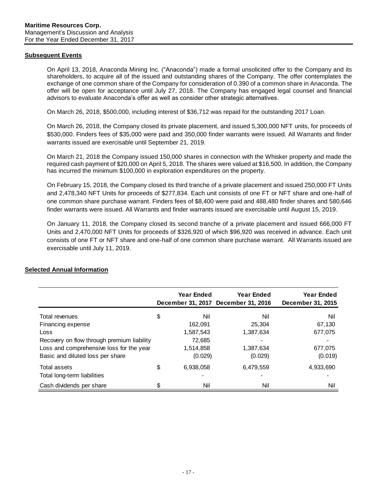## **Subsequent Events**

On April 13, 2018, Anaconda Mining Inc. ("Anaconda") made a formal unsolicited offer to the Company and its shareholders, to acquire all of the issued and outstanding shares of the Company. The offer contemplates the exchange of one common share of the Company for consideration of 0.390 of a common share in Anaconda. The offer will be open for acceptance until July 27, 2018. The Company has engaged legal counsel and financial advisors to evaluate Anaconda's offer as well as consider other strategic alternatives.

On March 26, 2018, \$500,000, including interest of \$36,712 was repaid for the outstanding 2017 Loan.

On March 26, 2018, the Company closed its private placement, and issued 5,300,000 NFT units, for proceeds of \$530,000. Finders fees of \$35,000 were paid and 350,000 finder warrants were issued. All Warrants and finder warrants issued are exercisable until September 21, 2019.

On March 21, 2018 the Company issued 150,000 shares in connection with the Whisker property and made the required cash payment of \$20,000 on April 5, 2018. The shares were valued at \$16,500. In addition, the Company has incurred the minimum \$100,000 in exploration expenditures on the property.

On February 15, 2018, the Company closed its third tranche of a private placement and issued 250,000 FT Units and 2,478,340 NFT Units for proceeds of \$277,834. Each unit consists of one FT or NFT share and one-half of one common share purchase warrant. Finders fees of \$8,400 were paid and 488,480 finder shares and 580,646 finder warrants were issued. All Warrants and finder warrants issued are exercisable until August 15, 2019.

On January 11, 2018, the Company closed its second tranche of a private placement and issued 666,000 FT Units and 2,470,000 NFT Units for proceeds of \$326,920 of which \$96,920 was received in advance. Each unit consists of one FT or NFT share and one-half of one common share purchase warrant. All Warrants issued are exercisable until July 11, 2019.

<span id="page-16-1"></span>

|                                            | <b>Year Ended</b> | <b>Year Ended</b><br>December 31, 2017 December 31, 2016 | <b>Year Ended</b><br>December 31, 2015 |
|--------------------------------------------|-------------------|----------------------------------------------------------|----------------------------------------|
| Total revenues                             | \$<br>Nil         | Nil                                                      | Nil                                    |
| Financing expense                          | 162,091           | 25,304                                                   | 67,130                                 |
| Loss                                       | 1,587,543         | 1,387,634                                                | 677,075                                |
| Recovery on flow through premium liability | 72,685            |                                                          |                                        |
| Loss and comprehensive loss for the year   | 1,514,858         | 1,387,634                                                | 677,075                                |
| Basic and diluted loss per share           | (0.029)           | (0.029)                                                  | (0.019)                                |
| Total assets                               | \$<br>6,938,058   | 6,479,559                                                | 4,933,690                              |
| Total long-term liabilities                |                   |                                                          |                                        |
| Cash dividends per share                   | \$<br>Nil         | Nil                                                      | Nil                                    |

# <span id="page-16-0"></span>**Selected Annual Information**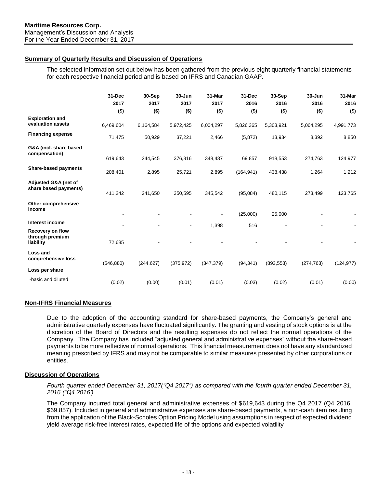# **Summary of Quarterly Results and Discussion of Operations**

The selected information set out below has been gathered from the previous eight quarterly financial statements for each respective financial period and is based on IFRS and Canadian GAAP.

|                                                  | 31-Dec<br>2017 | 30-Sep<br>2017 | $30 - Jun$<br>2017 | 31-Mar<br>2017 | 31-Dec<br>2016 | 30-Sep<br>2016 | 30-Jun<br>2016 | 31-Mar<br>2016 |
|--------------------------------------------------|----------------|----------------|--------------------|----------------|----------------|----------------|----------------|----------------|
|                                                  | $($ \$)        | $($ \$)        | $($ \$)            | $($ \$)        | $($ \$)        | $($ \$)        | $($ \$)        | $($)$          |
| <b>Exploration and</b><br>evaluation assets      | 6,469,604      | 6,164,584      | 5,972,425          | 6,004,297      | 5,826,365      | 5,303,921      | 5,064,295      | 4,991,773      |
| <b>Financing expense</b>                         | 71,475         | 50,929         | 37,221             | 2,466          | (5, 872)       | 13,934         | 8,392          | 8,850          |
| G&A (incl. share based<br>compensation)          | 619,643        | 244,545        | 376,316            | 348,437        | 69,857         | 918,553        | 274,763        | 124,977        |
| <b>Share-based payments</b>                      | 208,401        | 2,895          | 25,721             | 2,895          | (164, 941)     | 438,438        | 1,264          | 1,212          |
| Adjusted G&A (net of<br>share based payments)    | 411,242        | 241,650        | 350,595            | 345,542        | (95,084)       | 480,115        | 273,499        | 123,765        |
| Other comprehensive<br>income                    |                |                |                    |                | (25,000)       | 25,000         |                |                |
| Interest income                                  |                |                |                    | 1,398          | 516            |                |                |                |
| Recovery on flow<br>through premium<br>liability | 72,685         |                |                    |                |                |                |                |                |
| Loss and<br>comprehensive loss                   | (546, 880)     | (244, 627)     | (375, 972)         | (347, 379)     | (94, 341)      | (893, 553)     | (274, 763)     | (124, 977)     |
| Loss per share                                   |                |                |                    |                |                |                |                |                |
| -basic and diluted                               | (0.02)         | (0.00)         | (0.01)             | (0.01)         | (0.03)         | (0.02)         | (0.01)         | (0.00)         |

# **Non-IFRS Financial Measures**

Due to the adoption of the accounting standard for share-based payments, the Company's general and administrative quarterly expenses have fluctuated significantly. The granting and vesting of stock options is at the discretion of the Board of Directors and the resulting expenses do not reflect the normal operations of the Company. The Company has included "adjusted general and administrative expenses" without the share-based payments to be more reflective of normal operations. This financial measurement does not have any standardized meaning prescribed by IFRS and may not be comparable to similar measures presented by other corporations or entities.

#### <span id="page-17-0"></span>**Discussion of Operations**

*Fourth quarter ended December 31, 2017("Q4 2017") as compared with the fourth quarter ended December 31, 2016 ("Q4 2016')*

The Company incurred total general and administrative expenses of \$619,643 during the Q4 2017 (Q4 2016: \$69,857). Included in general and administrative expenses are share-based payments, a non-cash item resulting from the application of the Black-Scholes Option Pricing Model using assumptions in respect of expected dividend yield average risk-free interest rates, expected life of the options and expected volatility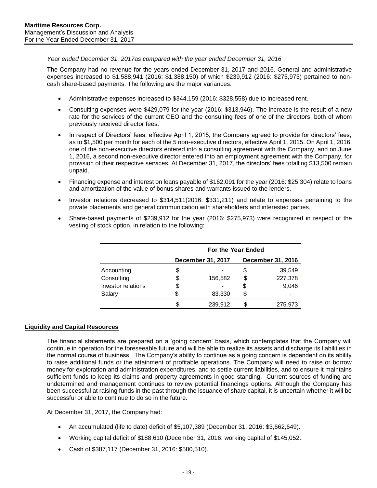*Year ended December 31, 2017as compared with the year ended December 31, 2016*

The Company had no revenue for the years ended December 31, 2017 and 2016. General and administrative expenses increased to \$1,588,941 (2016: \$1,388,150) of which \$239,912 (2016: \$275,973) pertained to noncash share-based payments. The following are the major variances:

- Administrative expenses increased to \$344,159 (2016: \$328,558) due to increased rent.
- Consulting expenses were \$429,079 for the year (2016: \$313,946). The increase is the result of a new rate for the services of the current CEO and the consulting fees of one of the directors, both of whom previously received director fees.
- In respect of Directors' fees, effective April 1, 2015, the Company agreed to provide for directors' fees, as to \$1,500 per month for each of the 5 non-executive directors, effective April 1, 2015. On April 1, 2016, one of the non-executive directors entered into a consulting agreement with the Company, and on June 1, 2016, a second non-executive director entered into an employment agreement with the Company, for provision of their respective services. At December 31, 2017, the directors' fees totalling \$13,500 remain unpaid.
- Financing expense and interest on loans payable of \$162,091 for the year (2016: \$25,304) relate to loans and amortization of the value of bonus shares and warrants issued to the lenders.
- Investor relations decreased to \$314,511(2016: \$331,211) and relate to expenses pertaining to the private placements and general communication with shareholders and interested parties.
- Share-based payments of \$239,912 for the year (2016: \$275,973) were recognized in respect of the vesting of stock option, in relation to the following:

|                    | For the Year Ended |                          |    |                   |  |
|--------------------|--------------------|--------------------------|----|-------------------|--|
|                    |                    | <b>December 31, 2017</b> |    | December 31, 2016 |  |
| Accounting         | \$                 |                          | \$ | 39,549            |  |
| Consulting         | S                  | 156,582                  | S  | 227,378           |  |
| Investor relations | \$                 |                          | \$ | 9,046             |  |
| Salary             | S                  | 83,330                   | \$ |                   |  |
|                    |                    | 239,912                  |    | 275,973           |  |

# <span id="page-18-0"></span>**Liquidity and Capital Resources**

The financial statements are prepared on a 'going concern' basis, which contemplates that the Company will continue in operation for the foreseeable future and will be able to realize its assets and discharge its liabilities in the normal course of business. The Company's ability to continue as a going concern is dependent on its ability to raise additional funds or the attainment of profitable operations. The Company will need to raise or borrow money for exploration and administration expenditures, and to settle current liabilities, and to ensure it maintains sufficient funds to keep its claims and property agreements in good standing. Current sources of funding are undetermined and management continues to review potential financings options. Although the Company has been successful at raising funds in the past through the issuance of share capital, it is uncertain whether it will be successful or able to continue to do so in the future.

At December 31, 2017, the Company had:

- An accumulated (life to date) deficit of \$5,107,389 (December 31, 2016: \$3,662,649).
- Working capital deficit of \$188,610 (December 31, 2016: working capital of \$145,052.
- Cash of \$387,117 (December 31, 2016: \$580,510).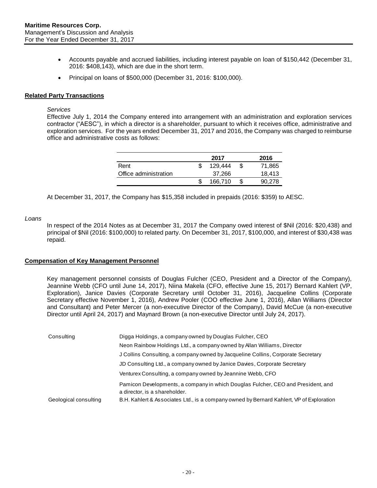- Accounts payable and accrued liabilities, including interest payable on loan of \$150,442 (December 31, 2016: \$408,143), which are due in the short term.
- Principal on loans of \$500,000 (December 31, 2016: \$100,000).

#### <span id="page-19-0"></span>**Related Party Transactions**

#### *Services*

Effective July 1, 2014 the Company entered into arrangement with an administration and exploration services contractor ("AESC"), in which a director is a shareholder, pursuant to which it receives office, administrative and exploration services. For the years ended December 31, 2017 and 2016, the Company was charged to reimburse office and administrative costs as follows:

|                       | 2017    | 2016   |
|-----------------------|---------|--------|
| Rent                  | 129.444 | 71,865 |
| Office administration | 37.266  | 18,413 |
|                       | 166.710 | 90.278 |

At December 31, 2017, the Company has \$15,358 included in prepaids (2016: \$359) to AESC.

#### *Loans*

In respect of the 2014 Notes as at December 31, 2017 the Company owed interest of \$Nil (2016: \$20,438) and principal of \$Nil (2016: \$100,000) to related party. On December 31, 2017, \$100,000, and interest of \$30,438 was repaid.

# **Compensation of Key Management Personnel**

Key management personnel consists of Douglas Fulcher (CEO, President and a Director of the Company), Jeannine Webb (CFO until June 14, 2017), Niina Makela (CFO, effective June 15, 2017) Bernard Kahlert (VP, Exploration), Janice Davies (Corporate Secretary until October 31, 2016), Jacqueline Collins (Corporate Secretary effective November 1, 2016), Andrew Pooler (COO effective June 1, 2016), Allan Williams (Director and Consultant) and Peter Mercer (a non-executive Director of the Company), David McCue (a non-executive Director until April 24, 2017) and Maynard Brown (a non-executive Director until July 24, 2017).

| Consulting            | Digga Holdings, a company owned by Douglas Fulcher, CEO                                                           |
|-----------------------|-------------------------------------------------------------------------------------------------------------------|
|                       | Neon Rainbow Holdings Ltd., a company owned by Allan Williams, Director                                           |
|                       | J Collins Consulting, a company owned by Jacqueline Collins, Corporate Secretary                                  |
|                       | JD Consulting Ltd., a company owned by Janice Davies, Corporate Secretary                                         |
|                       | Venturex Consulting, a company owned by Jeannine Webb, CFO                                                        |
|                       | Pamicon Developments, a company in which Douglas Fulcher, CEO and President, and<br>a director, is a shareholder. |
| Geological consulting | B.H. Kahlert & Associates Ltd., is a company owned by Bernard Kahlert, VP of Exploration                          |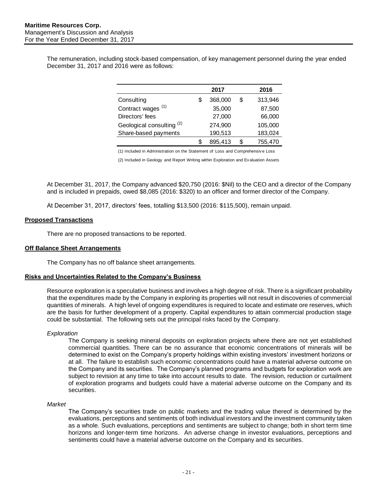The remuneration, including stock-based compensation, of key management personnel during the year ended December 31, 2017 and 2016 were as follows:

|                                      |   | 2017    | 2016          |
|--------------------------------------|---|---------|---------------|
| Consulting                           | S | 368,000 | \$<br>313,946 |
| Contract wages <sup>(1)</sup>        |   | 35,000  | 87,500        |
| Directors' fees                      |   | 27,000  | 66,000        |
| Geological consulting <sup>(2)</sup> |   | 274,900 | 105,000       |
| Share-based payments                 |   | 190,513 | 183,024       |
|                                      |   | 895.413 | \$<br>755,470 |

(1) Included in Administration on the Statement of Loss and Comprehensiv e Loss

(2) Included in Geology and Report Writing within Exploration and Ev aluation Assets

At December 31, 2017, the Company advanced \$20,750 (2016: \$Nil) to the CEO and a director of the Company and is included in prepaids, owed \$8,085 (2016: \$320) to an officer and former director of the Company.

At December 31, 2017, directors' fees, totalling \$13,500 (2016: \$115,500), remain unpaid.

#### **Proposed Transactions**

There are no proposed transactions to be reported.

#### <span id="page-20-0"></span>**Off Balance Sheet Arrangements**

The Company has no off balance sheet arrangements.

#### <span id="page-20-1"></span>**Risks and Uncertainties Related to the Company's Business**

Resource exploration is a speculative business and involves a high degree of risk. There is a significant probability that the expenditures made by the Company in exploring its properties will not result in discoveries of commercial quantities of minerals. A high level of ongoing expenditures is required to locate and estimate ore reserves, which are the basis for further development of a property. Capital expenditures to attain commercial production stage could be substantial. The following sets out the principal risks faced by the Company.

#### *Exploration*

The Company is seeking mineral deposits on exploration projects where there are not yet established commercial quantities. There can be no assurance that economic concentrations of minerals will be determined to exist on the Company's property holdings within existing investors' investment horizons or at all. The failure to establish such economic concentrations could have a material adverse outcome on the Company and its securities. The Company's planned programs and budgets for exploration work are subject to revision at any time to take into account results to date. The revision, reduction or curtailment of exploration programs and budgets could have a material adverse outcome on the Company and its securities.

#### *Market*

The Company's securities trade on public markets and the trading value thereof is determined by the evaluations, perceptions and sentiments of both individual investors and the investment community taken as a whole. Such evaluations, perceptions and sentiments are subject to change; both in short term time horizons and longer-term time horizons. An adverse change in investor evaluations, perceptions and sentiments could have a material adverse outcome on the Company and its securities.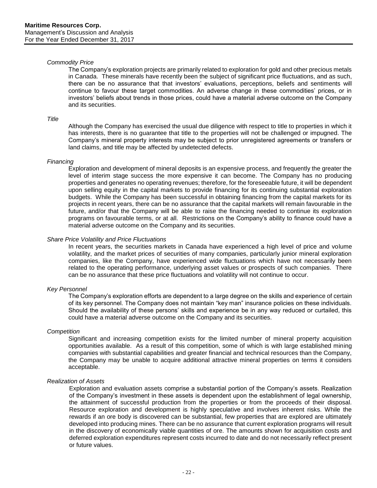#### *Commodity Price*

The Company's exploration projects are primarily related to exploration for gold and other precious metals in Canada. These minerals have recently been the subject of significant price fluctuations, and as such, there can be no assurance that that investors' evaluations, perceptions, beliefs and sentiments will continue to favour these target commodities. An adverse change in these commodities' prices, or in investors' beliefs about trends in those prices, could have a material adverse outcome on the Company and its securities.

#### *Title*

Although the Company has exercised the usual due diligence with respect to title to properties in which it has interests, there is no guarantee that title to the properties will not be challenged or impugned. The Company's mineral property interests may be subject to prior unregistered agreements or transfers or land claims, and title may be affected by undetected defects.

#### *Financing*

Exploration and development of mineral deposits is an expensive process, and frequently the greater the level of interim stage success the more expensive it can become. The Company has no producing properties and generates no operating revenues; therefore, for the foreseeable future, it will be dependent upon selling equity in the capital markets to provide financing for its continuing substantial exploration budgets. While the Company has been successful in obtaining financing from the capital markets for its projects in recent years, there can be no assurance that the capital markets will remain favourable in the future, and/or that the Company will be able to raise the financing needed to continue its exploration programs on favourable terms, or at all. Restrictions on the Company's ability to finance could have a material adverse outcome on the Company and its securities.

#### *Share Price Volatility and Price Fluctuations*

In recent years, the securities markets in Canada have experienced a high level of price and volume volatility, and the market prices of securities of many companies, particularly junior mineral exploration companies, like the Company, have experienced wide fluctuations which have not necessarily been related to the operating performance, underlying asset values or prospects of such companies. There can be no assurance that these price fluctuations and volatility will not continue to occur.

#### *Key Personnel*

The Company's exploration efforts are dependent to a large degree on the skills and experience of certain of its key personnel. The Company does not maintain "key man" insurance policies on these individuals. Should the availability of these persons' skills and experience be in any way reduced or curtailed, this could have a material adverse outcome on the Company and its securities.

#### *Competition*

Significant and increasing competition exists for the limited number of mineral property acquisition opportunities available. As a result of this competition, some of which is with large established mining companies with substantial capabilities and greater financial and technical resources than the Company, the Company may be unable to acquire additional attractive mineral properties on terms it considers acceptable.

#### *Realization of Assets*

Exploration and evaluation assets comprise a substantial portion of the Company's assets. Realization of the Company's investment in these assets is dependent upon the establishment of legal ownership, the attainment of successful production from the properties or from the proceeds of their disposal. Resource exploration and development is highly speculative and involves inherent risks. While the rewards if an ore body is discovered can be substantial, few properties that are explored are ultimately developed into producing mines. There can be no assurance that current exploration programs will result in the discovery of economically viable quantities of ore. The amounts shown for acquisition costs and deferred exploration expenditures represent costs incurred to date and do not necessarily reflect present or future values.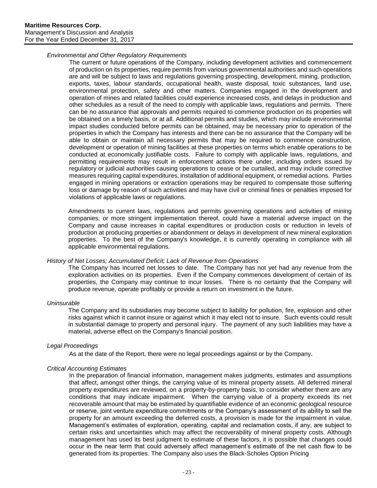#### *Environmental and Other Regulatory Requirements*

The current or future operations of the Company, including development activities and commencement of production on its properties, require permits from various governmental authorities and such operations are and will be subject to laws and regulations governing prospecting, development, mining, production, exports, taxes, labour standards, occupational health, waste disposal, toxic substances, land use, environmental protection, safety and other matters. Companies engaged in the development and operation of mines and related facilities could experience increased costs, and delays in production and other schedules as a result of the need to comply with applicable laws, regulations and permits. There can be no assurance that approvals and permits required to commence production on its properties will be obtained on a timely basis, or at all. Additional permits and studies, which may include environmental impact studies conducted before permits can be obtained, may be necessary prior to operation of the properties in which the Company has interests and there can be no assurance that the Company will be able to obtain or maintain all necessary permits that may be required to commence construction, development or operation of mining facilities at these properties on terms which enable operations to be conducted at economically justifiable costs. Failure to comply with applicable laws, regulations, and permitting requirements may result in enforcement actions there under, including orders issued by regulatory or judicial authorities causing operations to cease or be curtailed, and may include corrective measures requiring capital expenditures, installation of additional equipment, or remedial actions. Parties engaged in mining operations or extraction operations may be required to compensate those suffering loss or damage by reason of such activities and may have civil or criminal fines or penalties imposed for violations of applicable laws or regulations.

Amendments to current laws, regulations and permits governing operations and activities of mining companies, or more stringent implementation thereof, could have a material adverse impact on the Company and cause increases in capital expenditures or production costs or reduction in levels of production at producing properties or abandonment or delays in development of new mineral exploration properties. To the best of the Company's knowledge, it is currently operating in compliance with all applicable environmental regulations.

#### *History of Net Losses; Accumulated Deficit; Lack of Revenue from Operations*

The Company has incurred net losses to date. The Company has not yet had any revenue from the exploration activities on its properties. Even if the Company commences development of certain of its properties, the Company may continue to incur losses. There is no certainty that the Company will produce revenue, operate profitably or provide a return on investment in the future.

#### *Uninsurable*

The Company and its subsidiaries may become subject to liability for pollution, fire, explosion and other risks against which it cannot insure or against which it may elect not to insure. Such events could result in substantial damage to property and personal injury. The payment of any such liabilities may have a material, adverse effect on the Company's financial position.

#### *Legal Proceedings*

As at the date of the Report, there were no legal proceedings against or by the Company.

#### *Critical Accounting Estimates*

In the preparation of financial information, management makes judgments, estimates and assumptions that affect, amongst other things, the carrying value of its mineral property assets. All deferred mineral property expenditures are reviewed, on a property-by-property basis, to consider whether there are any conditions that may indicate impairment. When the carrying value of a property exceeds its net recoverable amount that may be estimated by quantifiable evidence of an economic geological resource or reserve, joint venture expenditure commitments or the Company's assessment of its ability to sell the property for an amount exceeding the deferred costs, a provision is made for the impairment in value. Management's estimates of exploration, operating, capital and reclamation costs, if any, are subject to certain risks and uncertainties which may affect the recoverability of mineral property costs. Although management has used its best judgment to estimate of these factors, it is possible that changes could occur in the near term that could adversely affect management's estimate of the net cash flow to be generated from its properties. The Company also uses the Black-Scholes Option Pricing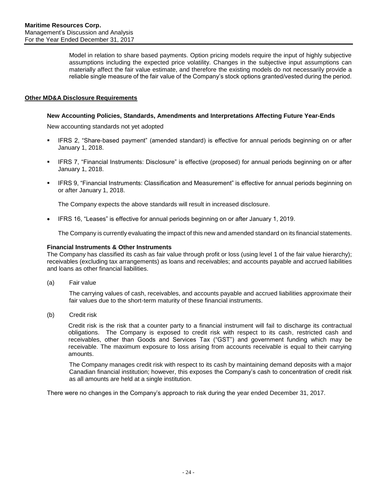Model in relation to share based payments. Option pricing models require the input of highly subjective assumptions including the expected price volatility. Changes in the subjective input assumptions can materially affect the fair value estimate, and therefore the existing models do not necessarily provide a reliable single measure of the fair value of the Company's stock options granted/vested during the period.

#### <span id="page-23-0"></span>**Other MD&A Disclosure Requirements**

#### **New Accounting Policies, Standards, Amendments and Interpretations Affecting Future Year-Ends**

New accounting standards not yet adopted

- **•** IFRS 2, "Share-based payment" (amended standard) is effective for annual periods beginning on or after January 1, 2018.
- IFRS 7, "Financial Instruments: Disclosure" is effective (proposed) for annual periods beginning on or after January 1, 2018.
- IFRS 9, "Financial Instruments: Classification and Measurement" is effective for annual periods beginning on or after January 1, 2018.

The Company expects the above standards will result in increased disclosure.

• IFRS 16, "Leases" is effective for annual periods beginning on or after January 1, 2019.

The Company is currently evaluating the impact of this new and amended standard on its financial statements.

#### **Financial Instruments & Other Instruments**

The Company has classified its cash as fair value through profit or loss (using level 1 of the fair value hierarchy); receivables (excluding tax arrangements) as loans and receivables; and accounts payable and accrued liabilities and loans as other financial liabilities.

(a) Fair value

The carrying values of cash, receivables, and accounts payable and accrued liabilities approximate their fair values due to the short-term maturity of these financial instruments.

(b) Credit risk

Credit risk is the risk that a counter party to a financial instrument will fail to discharge its contractual obligations. The Company is exposed to credit risk with respect to its cash, restricted cash and receivables, other than Goods and Services Tax ("GST") and government funding which may be receivable. The maximum exposure to loss arising from accounts receivable is equal to their carrying amounts.

The Company manages credit risk with respect to its cash by maintaining demand deposits with a major Canadian financial institution; however, this exposes the Company's cash to concentration of credit risk as all amounts are held at a single institution.

There were no changes in the Company's approach to risk during the year ended December 31, 2017.